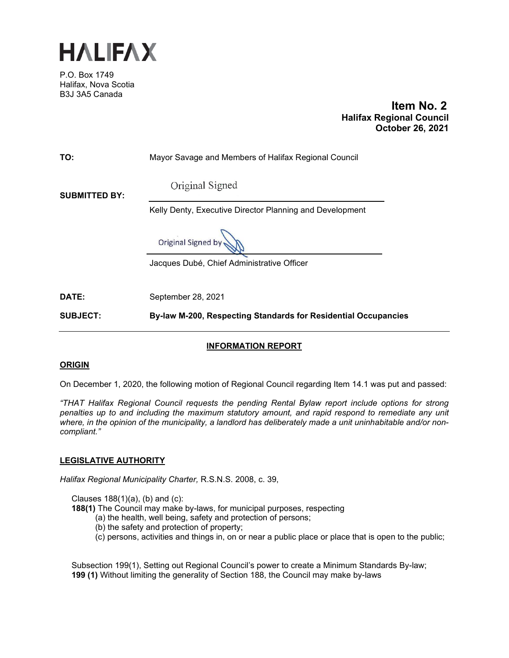

P.O. Box 1749 Halifax, Nova Scotia B3J 3A5 Canada

 **Item No. 2 Halifax Regional Council October 26, 2021**

| <b>SUBJECT:</b>      | By-law M-200, Respecting Standards for Residential Occupancies |
|----------------------|----------------------------------------------------------------|
| DATE:                | September 28, 2021                                             |
|                      | Jacques Dubé, Chief Administrative Officer                     |
|                      | Original Signed by                                             |
|                      | Kelly Denty, Executive Director Planning and Development       |
| <b>SUBMITTED BY:</b> | Original Signed                                                |
| TO:                  | Mayor Savage and Members of Halifax Regional Council           |

## **INFORMATION REPORT**

### **ORIGIN**

On December 1, 2020, the following motion of Regional Council regarding Item 14.1 was put and passed:

*"THAT Halifax Regional Council requests the pending Rental Bylaw report include options for strong penalties up to and including the maximum statutory amount, and rapid respond to remediate any unit where, in the opinion of the municipality, a landlord has deliberately made a unit uninhabitable and/or noncompliant."* 

### **LEGISLATIVE AUTHORITY**

*Halifax Regional Municipality Charter,* R.S.N.S. 2008, c. 39,

Clauses  $188(1)(a)$ , (b) and (c):

**188(1)** The Council may make by-laws, for municipal purposes, respecting

- (a) the health, well being, safety and protection of persons;
- (b) the safety and protection of property;
- (c) persons, activities and things in, on or near a public place or place that is open to the public;

Subsection 199(1), Setting out Regional Council's power to create a Minimum Standards By-law; **199 (1)** Without limiting the generality of Section 188, the Council may make by-laws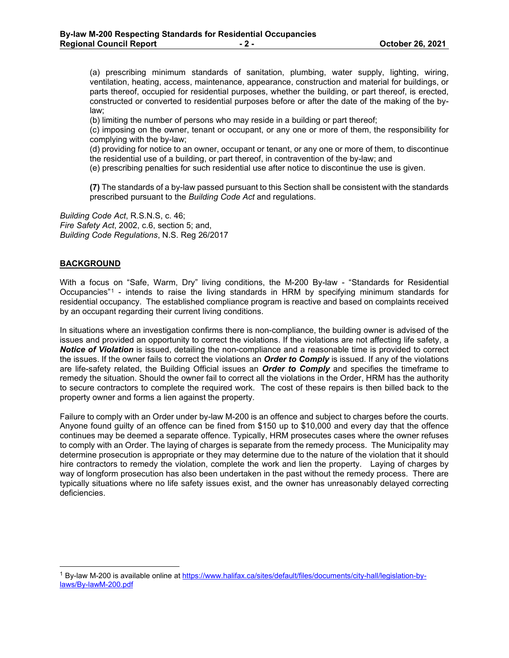(a) prescribing minimum standards of sanitation, plumbing, water supply, lighting, wiring, ventilation, heating, access, maintenance, appearance, construction and material for buildings, or parts thereof, occupied for residential purposes, whether the building, or part thereof, is erected, constructed or converted to residential purposes before or after the date of the making of the bylaw;

(b) limiting the number of persons who may reside in a building or part thereof;

(c) imposing on the owner, tenant or occupant, or any one or more of them, the responsibility for complying with the by-law;

(d) providing for notice to an owner, occupant or tenant, or any one or more of them, to discontinue the residential use of a building, or part thereof, in contravention of the by-law; and

(e) prescribing penalties for such residential use after notice to discontinue the use is given.

**(7)** The standards of a by-law passed pursuant to this Section shall be consistent with the standards prescribed pursuant to the *Building Code Act* and regulations.

*Building Code Act*, R.S.N.S, c. 46; *Fire Safety Act*, 2002, c.6, section 5; and, *Building Code Regulations*, N.S. Reg 26/2017

### **BACKGROUND**

With a focus on "Safe, Warm, Dry" living conditions, the M-200 By-law - "Standards for Residential Occupancies"[1](#page-1-0) - intends to raise the living standards in HRM by specifying minimum standards for residential occupancy. The established compliance program is reactive and based on complaints received by an occupant regarding their current living conditions.

In situations where an investigation confirms there is non-compliance, the building owner is advised of the issues and provided an opportunity to correct the violations. If the violations are not affecting life safety, a *Notice of Violation* is issued, detailing the non-compliance and a reasonable time is provided to correct the issues. If the owner fails to correct the violations an *Order to Comply* is issued. If any of the violations are life-safety related, the Building Official issues an *Order to Comply* and specifies the timeframe to remedy the situation. Should the owner fail to correct all the violations in the Order, HRM has the authority to secure contractors to complete the required work. The cost of these repairs is then billed back to the property owner and forms a lien against the property.

Failure to comply with an Order under by-law M-200 is an offence and subject to charges before the courts. Anyone found guilty of an offence can be fined from \$150 up to \$10,000 and every day that the offence continues may be deemed a separate offence. Typically, HRM prosecutes cases where the owner refuses to comply with an Order. The laying of charges is separate from the remedy process. The Municipality may determine prosecution is appropriate or they may determine due to the nature of the violation that it should hire contractors to remedy the violation, complete the work and lien the property. Laying of charges by way of longform prosecution has also been undertaken in the past without the remedy process. There are typically situations where no life safety issues exist, and the owner has unreasonably delayed correcting deficiencies.

<span id="page-1-0"></span><sup>1</sup> By-law M-200 is available online a[t https://www.halifax.ca/sites/default/files/documents/city-hall/legislation-by](https://www.halifax.ca/sites/default/files/documents/city-hall/legislation-by-laws/By-lawM-200.pdf)[laws/By-lawM-200.pdf](https://www.halifax.ca/sites/default/files/documents/city-hall/legislation-by-laws/By-lawM-200.pdf)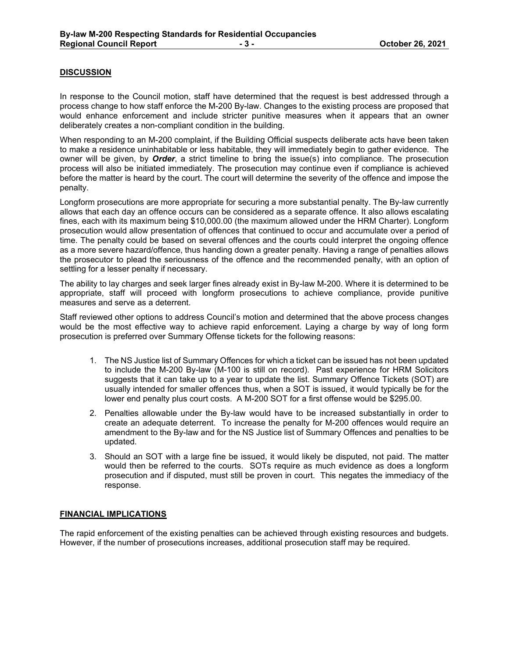## **DISCUSSION**

In response to the Council motion, staff have determined that the request is best addressed through a process change to how staff enforce the M-200 By-law. Changes to the existing process are proposed that would enhance enforcement and include stricter punitive measures when it appears that an owner deliberately creates a non-compliant condition in the building.

When responding to an M-200 complaint, if the Building Official suspects deliberate acts have been taken to make a residence uninhabitable or less habitable, they will immediately begin to gather evidence. The owner will be given, by *Order*, a strict timeline to bring the issue(s) into compliance. The prosecution process will also be initiated immediately. The prosecution may continue even if compliance is achieved before the matter is heard by the court. The court will determine the severity of the offence and impose the penalty.

Longform prosecutions are more appropriate for securing a more substantial penalty. The By-law currently allows that each day an offence occurs can be considered as a separate offence. It also allows escalating fines, each with its maximum being \$10,000.00 (the maximum allowed under the HRM Charter). Longform prosecution would allow presentation of offences that continued to occur and accumulate over a period of time. The penalty could be based on several offences and the courts could interpret the ongoing offence as a more severe hazard/offence, thus handing down a greater penalty. Having a range of penalties allows the prosecutor to plead the seriousness of the offence and the recommended penalty, with an option of settling for a lesser penalty if necessary.

The ability to lay charges and seek larger fines already exist in By-law M-200. Where it is determined to be appropriate, staff will proceed with longform prosecutions to achieve compliance, provide punitive measures and serve as a deterrent.

Staff reviewed other options to address Council's motion and determined that the above process changes would be the most effective way to achieve rapid enforcement. Laying a charge by way of long form prosecution is preferred over Summary Offense tickets for the following reasons:

- 1. The NS Justice list of Summary Offences for which a ticket can be issued has not been updated to include the M-200 By-law (M-100 is still on record). Past experience for HRM Solicitors suggests that it can take up to a year to update the list. Summary Offence Tickets (SOT) are usually intended for smaller offences thus, when a SOT is issued, it would typically be for the lower end penalty plus court costs. A M-200 SOT for a first offense would be \$295.00.
- 2. Penalties allowable under the By-law would have to be increased substantially in order to create an adequate deterrent. To increase the penalty for M-200 offences would require an amendment to the By-law and for the NS Justice list of Summary Offences and penalties to be updated.
- 3. Should an SOT with a large fine be issued, it would likely be disputed, not paid. The matter would then be referred to the courts. SOTs require as much evidence as does a longform prosecution and if disputed, must still be proven in court. This negates the immediacy of the response.

### **FINANCIAL IMPLICATIONS**

The rapid enforcement of the existing penalties can be achieved through existing resources and budgets. However, if the number of prosecutions increases, additional prosecution staff may be required.